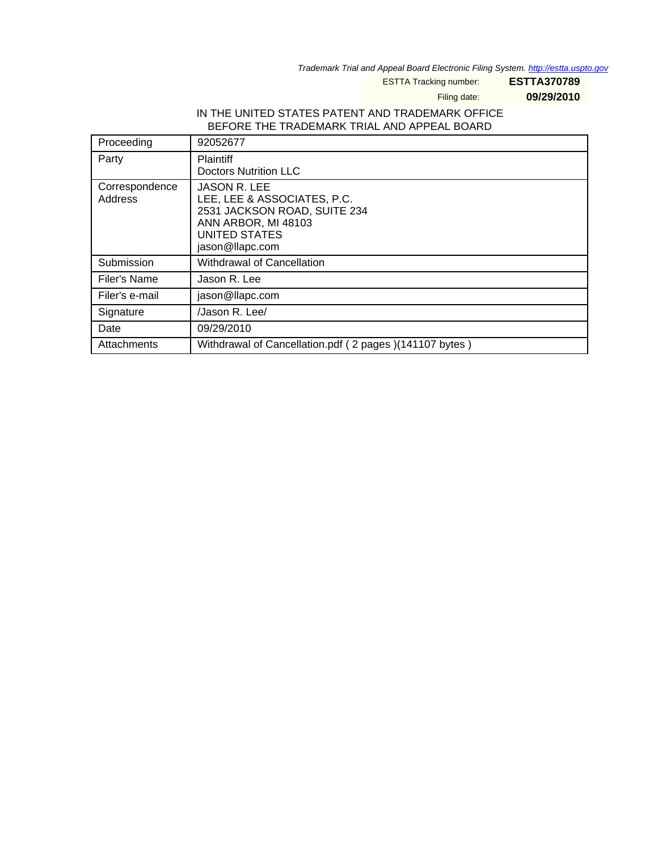Trademark Trial and Appeal Board Electronic Filing System. http://estta.uspto.gov

ESTTA Tracking number: **ESTTA370789**

Filing date: **09/29/2010**

# IN THE UNITED STATES PATENT AND TRADEMARK OFFICE BEFORE THE TRADEMARK TRIAL AND APPEAL BOARD

| Proceeding                | 92052677                                                                                                                                      |
|---------------------------|-----------------------------------------------------------------------------------------------------------------------------------------------|
| Party                     | <b>Plaintiff</b><br><b>Doctors Nutrition LLC</b>                                                                                              |
| Correspondence<br>Address | <b>JASON R. LEE</b><br>LEE, LEE & ASSOCIATES, P.C.<br>2531 JACKSON ROAD, SUITE 234<br>ANN ARBOR, MI 48103<br>UNITED STATES<br>jason@llapc.com |
| Submission                | <b>Withdrawal of Cancellation</b>                                                                                                             |
| Filer's Name              | Jason R. Lee                                                                                                                                  |
| Filer's e-mail            | jason@llapc.com                                                                                                                               |
| Signature                 | /Jason R. Lee/                                                                                                                                |
| Date                      | 09/29/2010                                                                                                                                    |
| Attachments               | Withdrawal of Cancellation.pdf (2 pages) (141107 bytes)                                                                                       |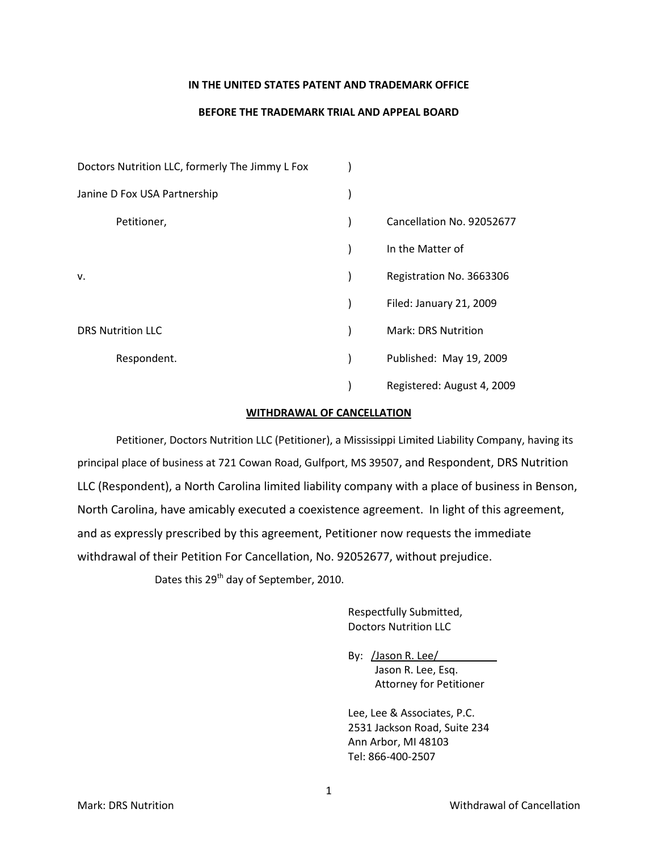#### **IN THE UNITED STATES PATENT AND TRADEMARK OFFICE**

## **BEFORE THE TRADEMARK TRIAL AND APPEAL BOARD**

| Doctors Nutrition LLC, formerly The Jimmy L Fox |  |                            |
|-------------------------------------------------|--|----------------------------|
| Janine D Fox USA Partnership                    |  |                            |
| Petitioner,                                     |  | Cancellation No. 92052677  |
|                                                 |  | In the Matter of           |
| v.                                              |  | Registration No. 3663306   |
|                                                 |  | Filed: January 21, 2009    |
| <b>DRS Nutrition LLC</b>                        |  | <b>Mark: DRS Nutrition</b> |
| Respondent.                                     |  | Published: May 19, 2009    |
|                                                 |  | Registered: August 4, 2009 |

#### **WITHDRAWAL OF CANCELLATION**

Petitioner, Doctors Nutrition LLC (Petitioner), a Mississippi Limited Liability Company, having its principal place of business at 721 Cowan Road, Gulfport, MS 39507, and Respondent, DRS Nutrition LLC (Respondent), a North Carolina limited liability company with a place of business in Benson, North Carolina, have amicably executed a coexistence agreement. In light of this agreement, and as expressly prescribed by this agreement, Petitioner now requests the immediate withdrawal of their Petition For Cancellation, No. 92052677, without prejudice.

Dates this 29<sup>th</sup> day of September, 2010.

Respectfully Submitted, Doctors Nutrition LLC

By: /Jason R. Lee/ Jason R. Lee, Esq. Attorney for Petitioner

Lee, Lee & Associates, P.C. 2531 Jackson Road, Suite 234 Ann Arbor, MI 48103 Tel: 866-400-2507